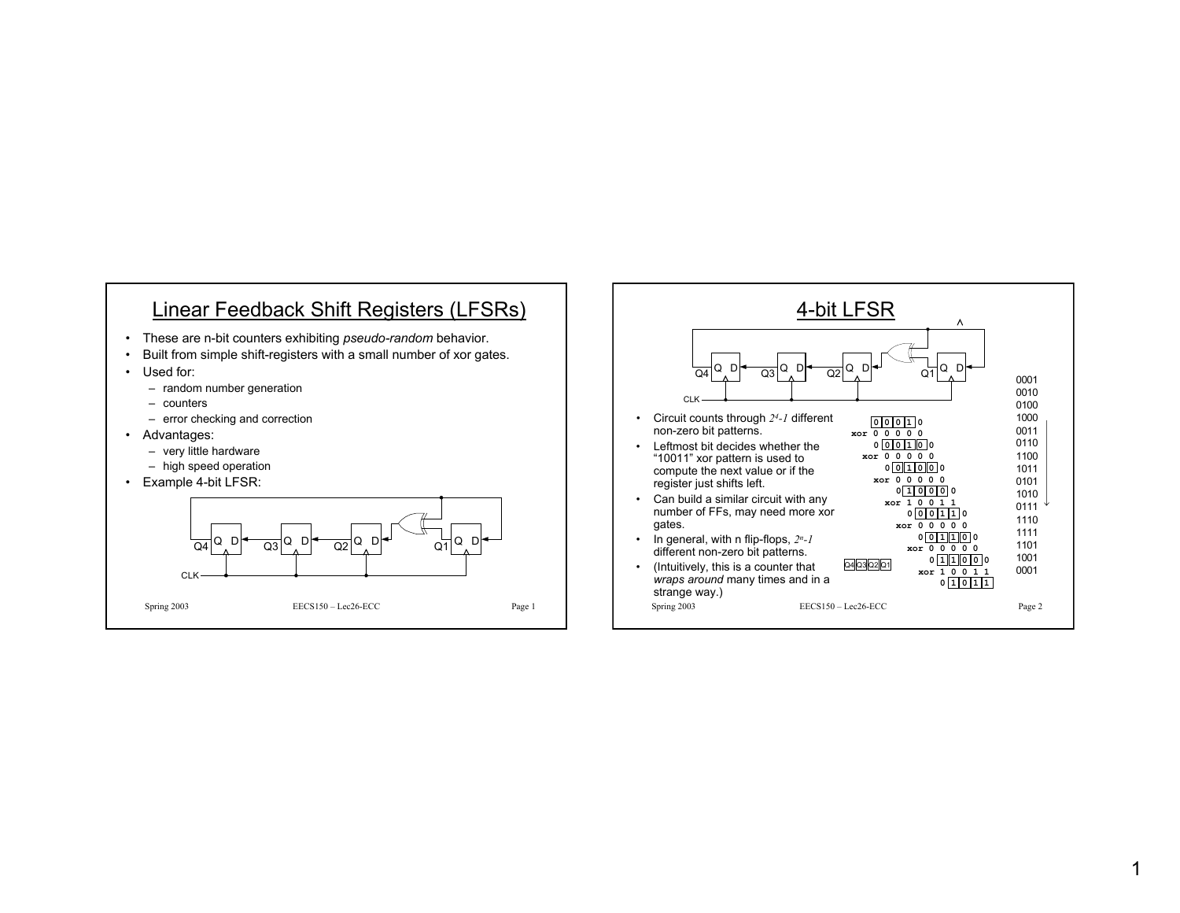### Linear Feedback Shift Registers (LFSRs)

- These are n-bit counters exhibiting *pseudo-random* behavior.
- •Built from simple shift-registers with a small number of xor gates.
- Used for:
	- random number generation
	- counters
	- error checking and correction
- Advantages:
	- very little hardware
	- high speed operation
- Example 4-bit LFSR:



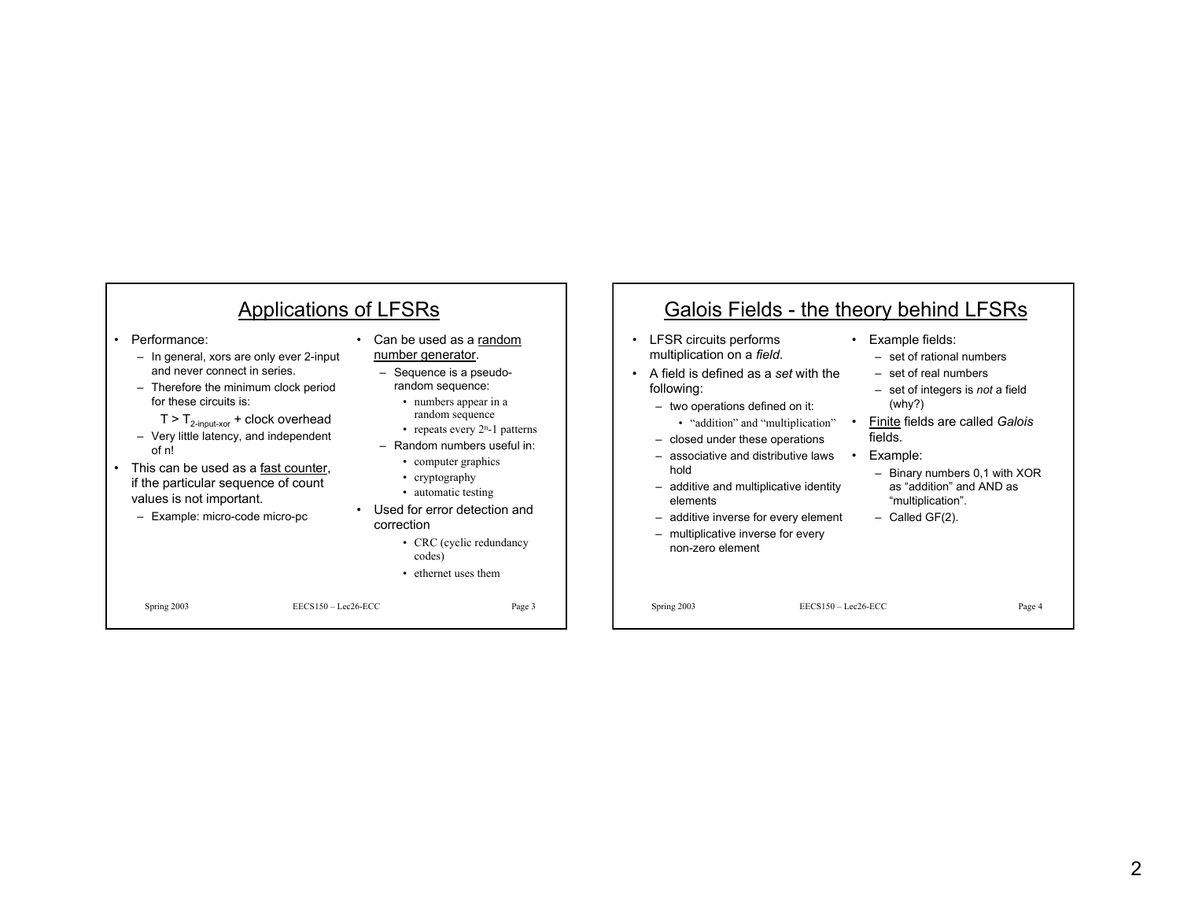| Applications of LFSRs                                                                                                                                                                                                                                                                                                                                                                               |                                                                                                                                                                                                                                                                                                                                                                                            | Galois Fields - the theory behind LFSRs                                                                                                                                                                                                                                                                                                                                                                                      |                                                                                                                                                                                                                                                                                                   |  |  |
|-----------------------------------------------------------------------------------------------------------------------------------------------------------------------------------------------------------------------------------------------------------------------------------------------------------------------------------------------------------------------------------------------------|--------------------------------------------------------------------------------------------------------------------------------------------------------------------------------------------------------------------------------------------------------------------------------------------------------------------------------------------------------------------------------------------|------------------------------------------------------------------------------------------------------------------------------------------------------------------------------------------------------------------------------------------------------------------------------------------------------------------------------------------------------------------------------------------------------------------------------|---------------------------------------------------------------------------------------------------------------------------------------------------------------------------------------------------------------------------------------------------------------------------------------------------|--|--|
| Performance:<br>- In general, xors are only ever 2-input<br>and never connect in series.<br>- Therefore the minimum clock period<br>for these circuits is:<br>$T > T_{2-input-xor} + clock overhead$<br>- Very little latency, and independent<br>of n!<br>This can be used as a fast counter,<br>if the particular sequence of count<br>values is not important.<br>- Example: micro-code micro-pc | Can be used as a random<br>number generator.<br>$-$ Sequence is a pseudo-<br>random sequence:<br>• numbers appear in a<br>random sequence<br>• repeats every $2n$ -1 patterns<br>$-$ Random numbers useful in:<br>• computer graphics<br>• cryptography<br>• automatic testing<br>Used for error detection and<br>correction<br>• CRC (cyclic redundancy<br>codes)<br>• ethernet uses them | LFSR circuits performs<br>multiplication on a field.<br>A field is defined as a set with the<br>following:<br>- two operations defined on it:<br>• "addition" and "multiplication"<br>- closed under these operations<br>- associative and distributive laws<br>hold<br>- additive and multiplicative identity<br>elements<br>- additive inverse for every element<br>- multiplicative inverse for every<br>non-zero element | Example fields:<br>- set of rational numbers<br>- set of real numbers<br>$-$ set of integers is <i>not</i> a field<br>(why?)<br>Finite fields are called Galois<br>fields.<br>Example:<br>- Binary numbers 0,1 with XOR<br>as "addition" and AND as<br>"multiplication".<br>$-$ Called GF $(2)$ . |  |  |
| $EECS150 - Lec26-ECC$<br>Spring 2003                                                                                                                                                                                                                                                                                                                                                                | Page 3                                                                                                                                                                                                                                                                                                                                                                                     | Spring 2003                                                                                                                                                                                                                                                                                                                                                                                                                  | $EECS150 - Lee26-ECC$<br>Page 4                                                                                                                                                                                                                                                                   |  |  |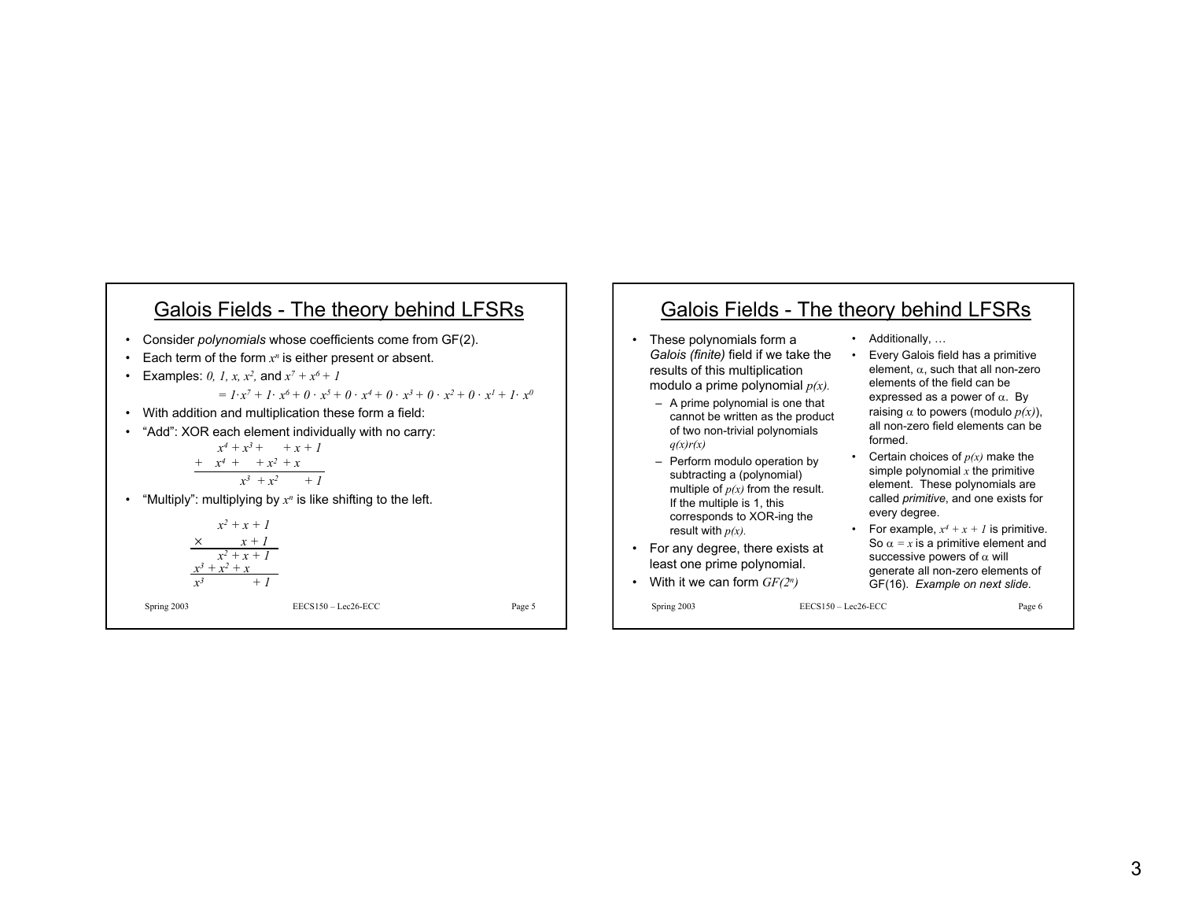## Galois Fields - The theory behind LFSRs

- Consider *polynomials* whose coefficients come from GF(2).
- Each term of the form *x<sup>n</sup>* is either present or absent.

• Examples: 0, 1, x, 
$$
x^2
$$
, and  $x^7 + x^6 + 1$ 

 $= I \cdot x^7 + I \cdot x^6 + 0 \cdot x^5 + 0 \cdot x^4 + 0 \cdot x^3 + 0 \cdot x^2 + 0 \cdot x^1 + I \cdot x^0$ 

- With addition and multiplication these form a field:
- "Add": XOR each element individually with no carry:

$$
x^{4} + x^{3} + x + x + 1
$$
\n
$$
+ x^{4} + x^{2} + x
$$
\n
$$
x^{3} + x^{2} + 1
$$

• "Multiply": multiplying by *x<sup>n</sup>* is like shifting to the left.

$$
x^{2}+x+1
$$
\n
$$
\times
$$
\n
$$
x + 1
$$
\n
$$
x^{2}+x+1
$$
\n
$$
x^{3}+x^{2}+x
$$
\n
$$
x^{3} + 1
$$

Spring 2003 EECS150 – Lec26-ECC Page 5

### Galois Fields - The theory behind LFSRs

- • These polynomials form a *Galois (finite)* field if we take the results of this multiplication modulo a prime polynomial *p(x).*
	- A prime polynomial is one that cannot be written as the product of two non-trivial polynomials *q(x)r(x)*
	- Perform modulo operation by subtracting a (polynomial) multiple of  $p(x)$  from the result. If the multiple is 1, this corresponds to XOR-ing the result with *p(x).*
- For any degree, there exists at least one prime polynomial.
- With it we can form *GF(2n)*

Spring 2003 EECS150 – Lec26-ECC Page 6

- Additionally, …
- Every Galois field has a primitive element,  $\alpha$ , such that all non-zero elements of the field can beexpressed as a power of  $\alpha$ . By raising  $\alpha$  to powers (modulo  $p(x)$ ), all non-zero field elements can beformed.
- Certain choices of *p(x)* make the simple polynomial *x* the primitive element. These polynomials are called *primitive*, and one exists for every degree.
- For example,  $x^4 + x + 1$  is primitive. So  $\alpha$  = x is a primitive element and successive powers of  $\alpha$  will generate all non-zero elements of GF(16). *Example on next slide.*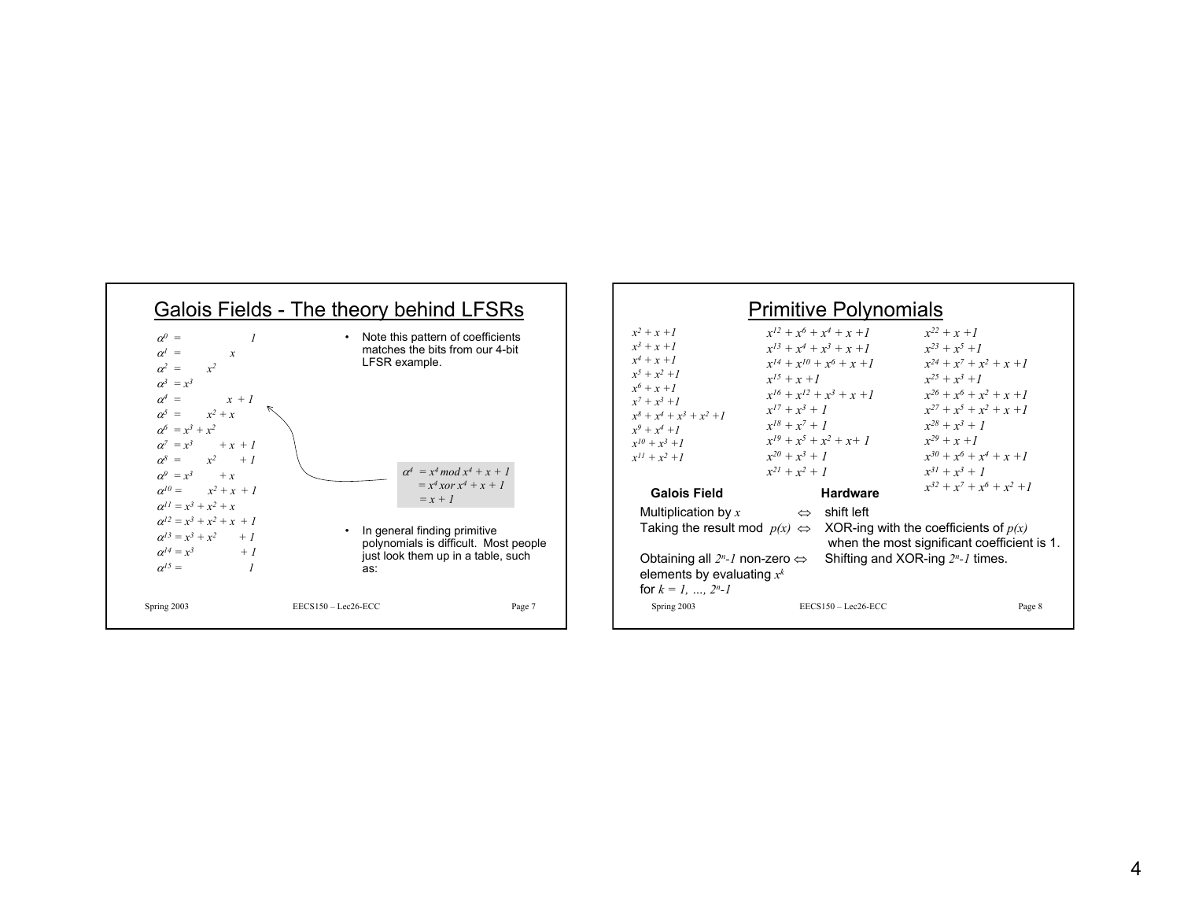

#### Spring 2003 EECS150 – Lec26-ECC Page 8 Primitive Polynomials  $x^2 + x + I$  $x^3 + x +1$ *x4 + x +1* $x^5 + x^2 +1$ *x6 + x +1* $x^7 + x^3 +1$  $x^8 + x^4 + x^3 + x^2 +1$  $x^9 + x^4 +1$  $x^{10} + x^3 +1$  $x^{11} + x^2 +1$  $x^{12} + x^6 + x^4 + x +1$  $x^{13} + x^4 + x^3 + x +1$  $x^{14} + x^{10} + x^6 + x +1$  $x^{15} + x + 1$  $x^{16} + x^{12} + x^3 + x +1$  $x^{17} + x^3 + 1$  $x^{18} + x^7 + 1$  $x^{19} + x^5 + x^2 + x + 1$  $x^{20} + x^3 + I$  $x^{21} + x^2 + 1$  $x^{22} + x + 1$  $x^{23} + x^5 +1$  $x^{24} + x^7 + x^2 + x +1$  $x^{25} + x^3 + 1$  $x^{26} + x^6 + x^2 + x +1$  $x^{27} + x^5 + x^2 + x +1$  $x^{28} + x^3 + 1$  $x^{29} + x + 1$  $x^{30} + x^6 + x^4 + x +1$  $x^{31} + x^3 + 1$ **Galois Field Hardware**  $x^{32} + x^7 + x^6 + x^2 +1$ Multiplication by  $x \Leftrightarrow$  shift left Taking the result mod  $p(x) \Leftrightarrow$  XOR-ing with the coefficients of  $p(x)$ when the most significant coefficient is 1. Obtaining all *2n-1* non-zero <sup>⇔</sup> Shifting and XOR-ing *2n-1* times. elements by evaluating *x<sup>k</sup>* for  $k = 1, \ldots, 2<sup>n</sup> - 1$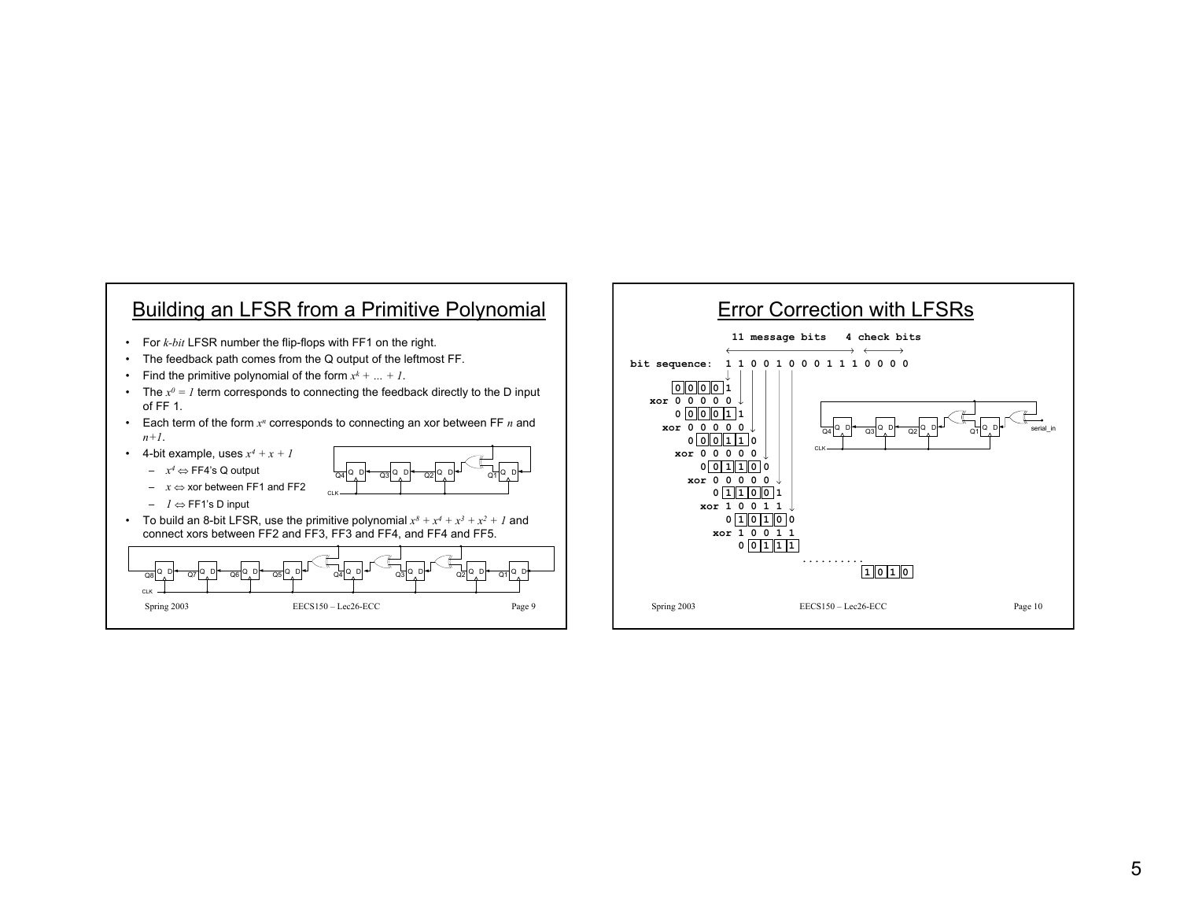

- For *k-bit* LFSR number the flip-flops with FF1 on the right.
- The feedback path comes from the Q output of the leftmost FF.
- Find the primitive polynomial of the form *xk + … + 1*.
- The *x0 = 1* term corresponds to connecting the feedback directly to the D input of FF 1.
- Each term of the form *x<sup>n</sup>* corresponds to connecting an xor between FF *n* and *n+1*.
- 4-bit example, uses *x4 + x + 1*
	- *<sup>x</sup><sup>4</sup>* <sup>⇔</sup> FF4's Q output



- *1* <sup>⇔</sup> FF1's D input
- $\;$  To build an 8-bit LFSR, use the primitive polynomial  $x^8 + x^4 + x^3 + x^2 + I$  and connect xors between FF2 and FF3, FF3 and FF4, and FF4 and FF5.



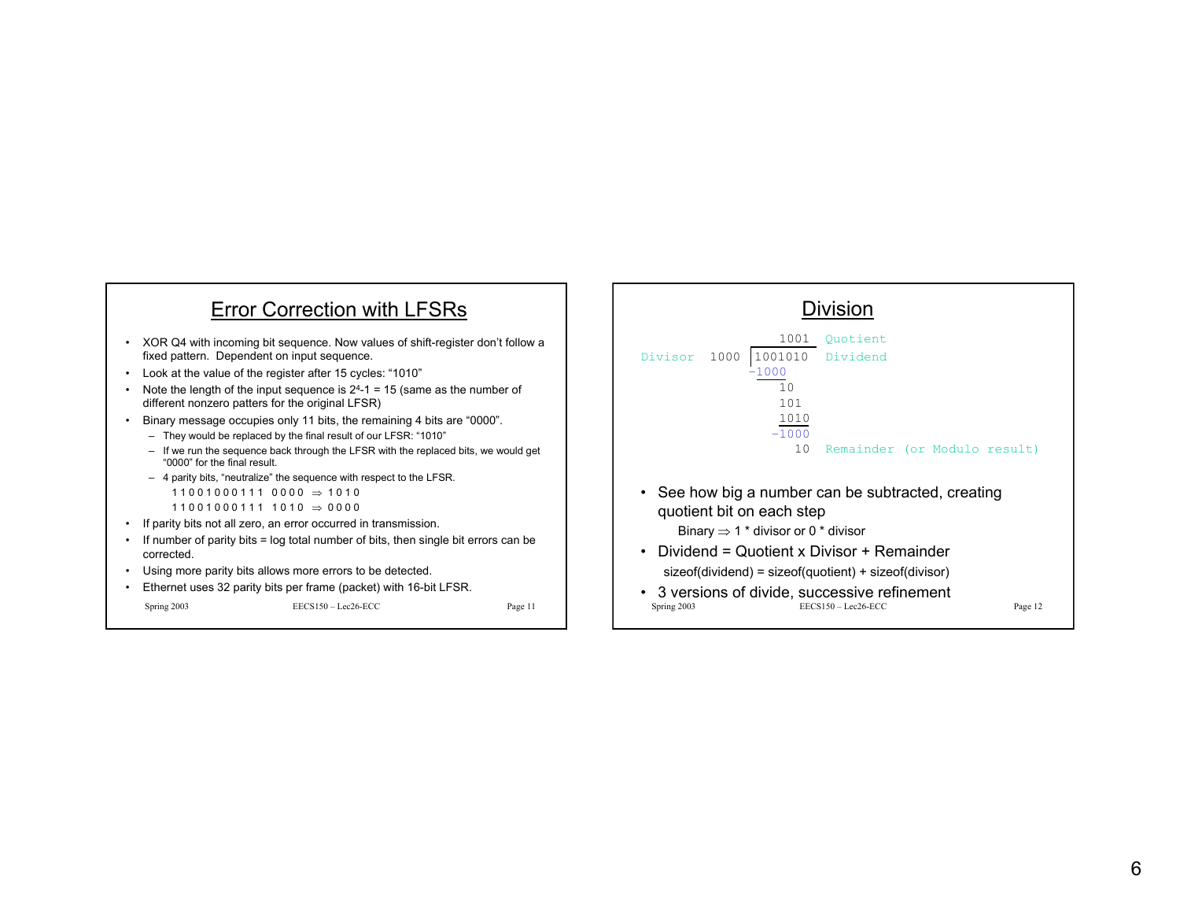



Spring 2003 EECS150 – Lec26-ECC Page 12 • 3 versions of divide, successive refinement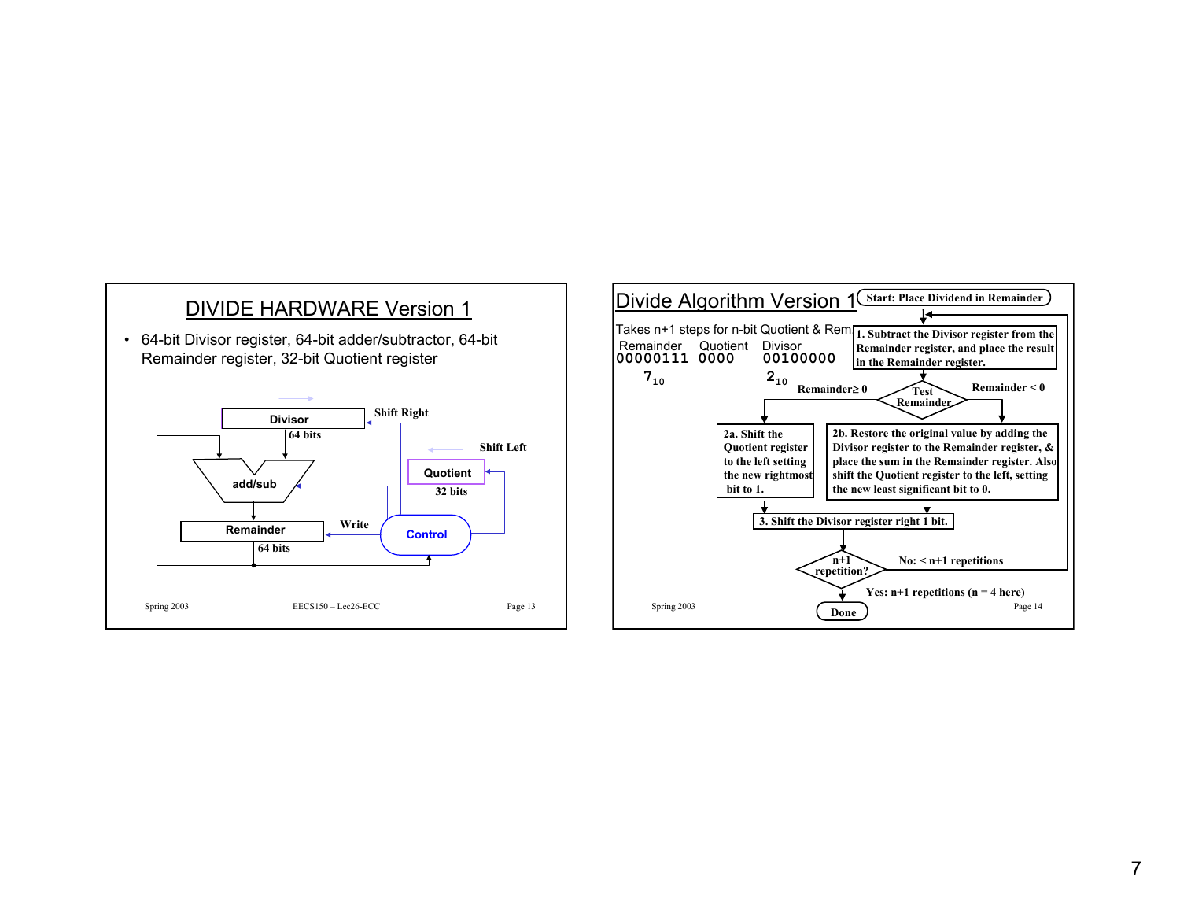

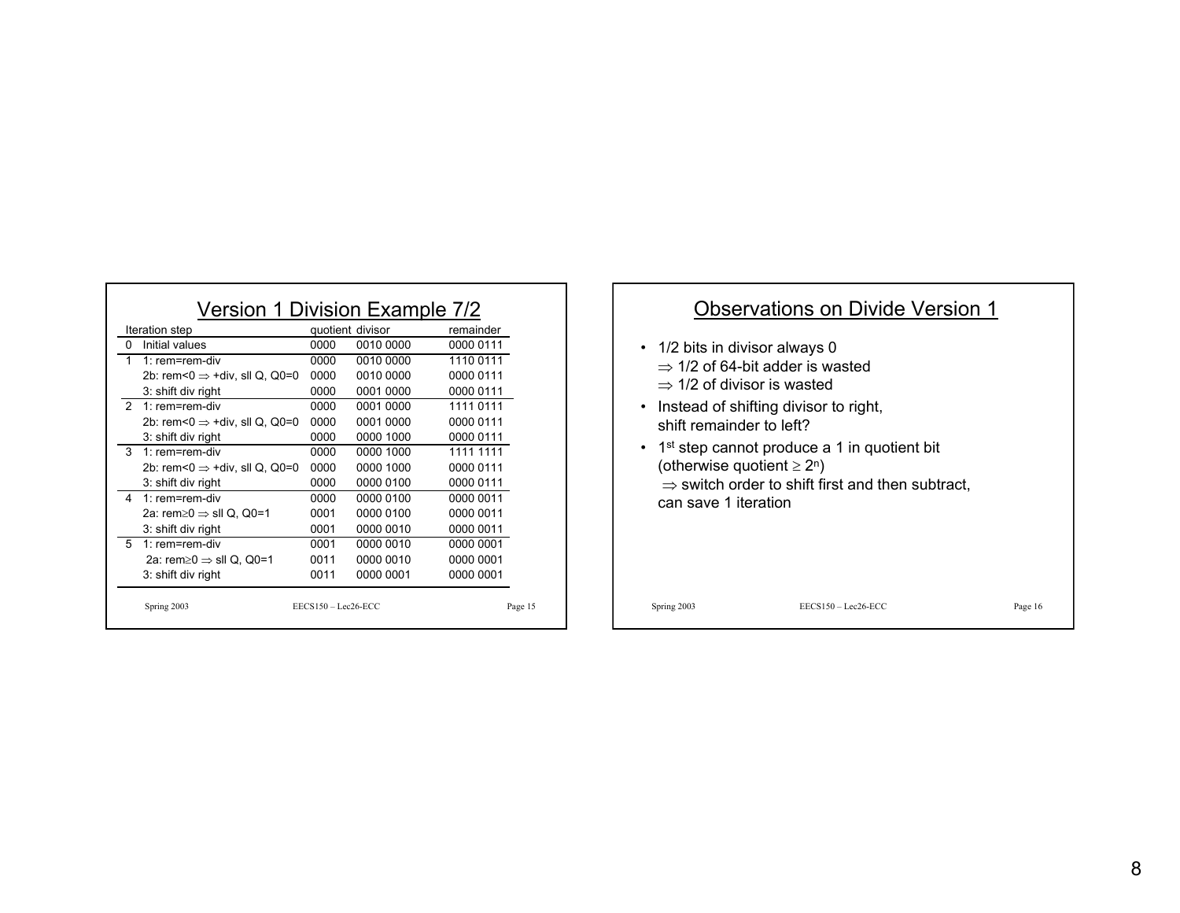| Iteration step                           |                                           |      | quotient divisor | remainder |
|------------------------------------------|-------------------------------------------|------|------------------|-----------|
| 0<br>Initial values                      |                                           | 0000 | 0010 0000        | 0000 0111 |
| 1<br>1: $rem=rem-div$                    |                                           | 0000 | 0010 0000        | 1110 0111 |
|                                          | 2b: rem<0 $\Rightarrow$ +div, sll Q, Q0=0 | 0000 | 0010 0000        | 0000 0111 |
| 3: shift div right                       |                                           | 0000 | 0001 0000        | 0000 0111 |
| $\mathcal{P}$<br>1 $rem=rem$ -div        |                                           | 0000 | 0001 0000        | 1111 0111 |
|                                          | 2b: rem<0 $\Rightarrow$ +div, sll Q, Q0=0 | 0000 | 0001 0000        | 0000 0111 |
| 3: shift div right                       |                                           | 0000 | 0000 1000        | 0000 0111 |
| 3<br>1 $rem=rem$ -div                    |                                           | 0000 | 0000 1000        | 1111 1111 |
|                                          | 2b: rem<0 $\Rightarrow$ +div, sll Q, Q0=0 | 0000 | 0000 1000        | 0000 0111 |
| 3: shift div right                       |                                           | 0000 | 0000 0100        | 0000 0111 |
| 4<br>1: rem=rem-div                      |                                           | 0000 | 0000 0100        | 0000 0011 |
| 2a: rem $\geq 0 \Rightarrow$ sll Q, Q0=1 |                                           | 0001 | 0000 0100        | 0000 0011 |
| 3: shift div right                       |                                           | 0001 | 0000 0010        | 0000 0011 |
| 5<br>1 $rem=rem$ -div                    |                                           | 0001 | 0000 0010        | 0000 0001 |
| 2a: rem $\geq 0 \Rightarrow$ sll Q, Q0=1 |                                           | 0011 | 0000 0010        | 0000 0001 |
| 3: shift div right                       |                                           | 0011 | 0000 0001        | 0000 0001 |

### Observations on Divide Version 1

- 1/2 bits in divisor always 0  $\Rightarrow$  1/2 of 64-bit adder is wasted
	- $\Rightarrow$  1/2 of divisor is wasted
- Instead of shifting divisor to right, shift remainder to left?
- 1<sup>st</sup> step cannot produce a 1 in quotient bit (otherwise quotient  $\geq 2^n$ )  $\Rightarrow$  switch order to shift first and then subtract, can save 1 iteration

Spring 2003 EECS150 – Lec26-ECC Page 16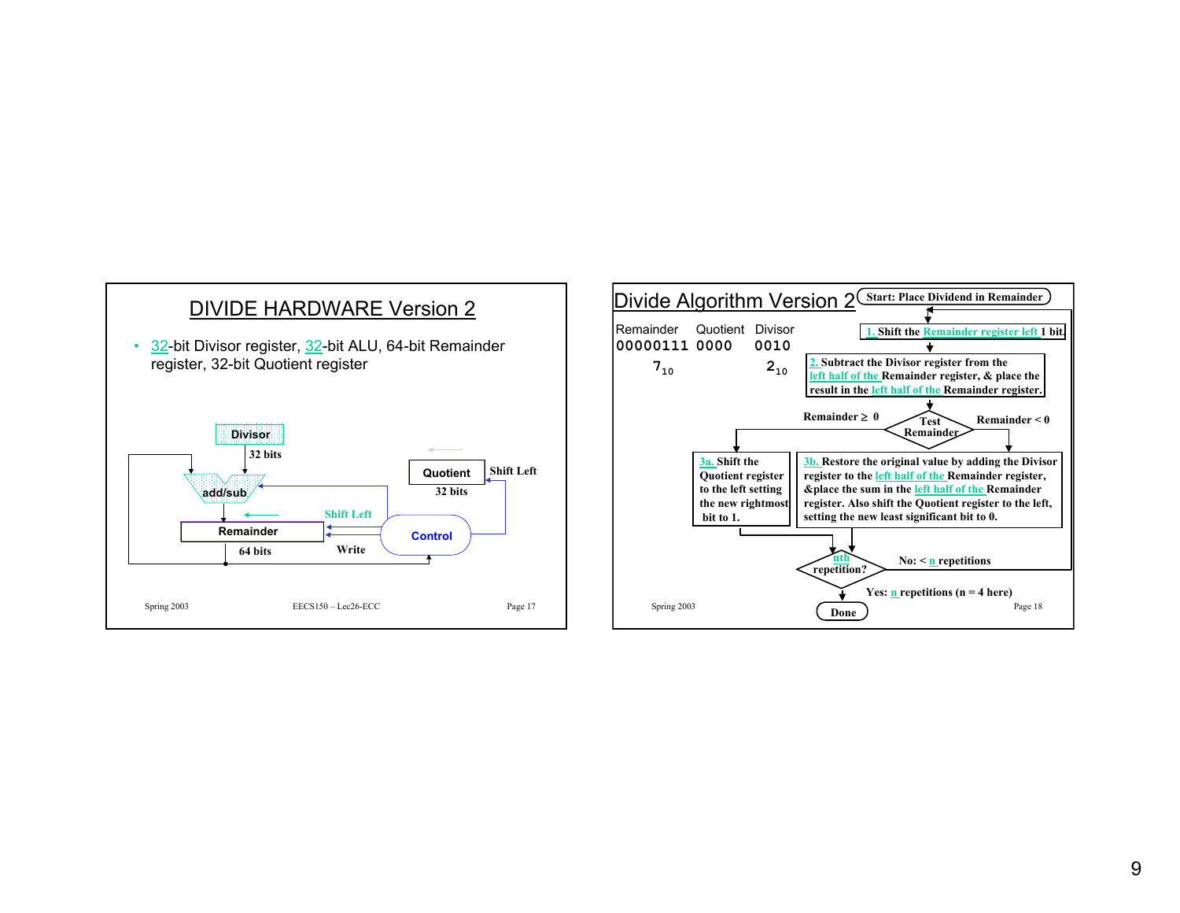

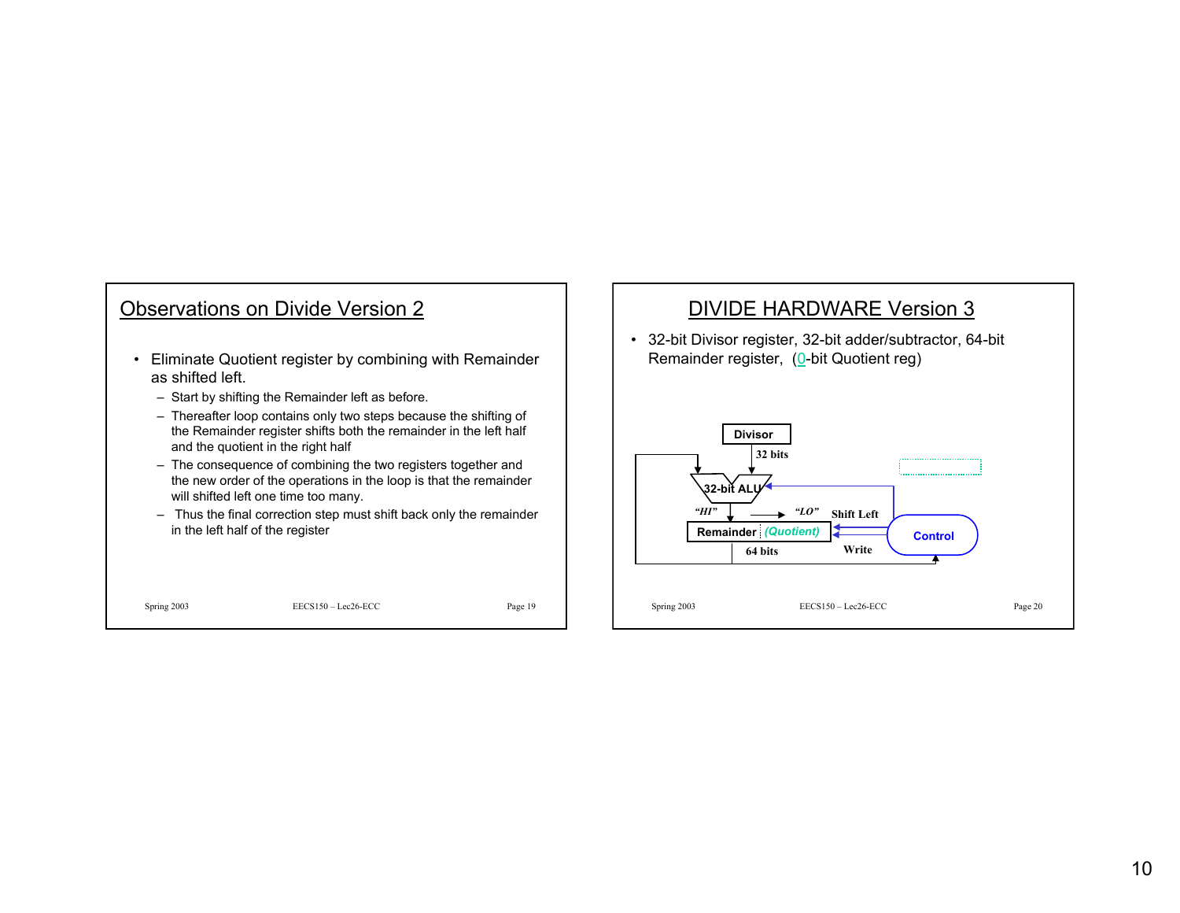# Observations on Divide Version 2

- Eliminate Quotient register by combining with Remainder as shifted left.
	- Start by shifting the Remainder left as before.
	- Thereafter loop contains only two steps because the shifting of the Remainder register shifts both the remainder in the left half and the quotient in the right half
	- The consequence of combining the two registers together and the new order of the operations in the loop is that the remainder will shifted left one time too many.
	- Thus the final correction step must shift back only the remainder in the left half of the register

Spring 2003 EECS150 – Lec26-ECC Page 19

### DIVIDE HARDWARE Version 3

• 32-bit Divisor register, 32-bit adder/subtractor, 64-bit Remainder register, (0-bit Quotient reg)